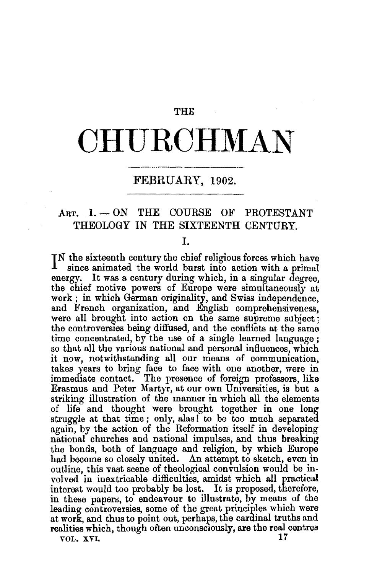### **THE**

# **CHURCHMAN**

## FEBRUARY, 1902.

# ART.  $I. - ON$  THE COURSE OF PROTESTANT THEOLOGY IN THE SIXTEENTH CENTURY.

#### I.

IN the sixteenth century the chief religious forces which have<br>ince animated the world burst into action with a primal since animated the world burst into action with a primal energy. It was a century during which, in a singular degree, the chief motive powers of Europe were simultaneously at work; in which German originality, and Swiss independence, and French organization, and English comprehensiveness, were all brought into action on the same supreme subject; the controversies being diffused, and the conflicts at the same time concentrated, by the use of a single learned language ; so that all the various national and personal influences, which it now, notwithstanding all our means of communication, takes years to bring face to face with one another, were in immediate contact. The presence of foreign professors, like Erasmus and Peter Martyr, at our own Umversities, is but a striking illustration of the manner in which all the elements of life and thought were brought together in one long struggle at that time; only, alas! to be too much separated again, by the action of the Reformation itself in developing national churches and national impulses, and thus breaking the bonds, both of language and religion, by which Europe had become so closely united. An attempt to sketch, even in outline, this vast scene of theological convulsion would be in. volved in inextricable difficulties, amidst which all practical interest would too probably be lost. It is proposed, therefore, in these papers, to endeavour to illustrate, by means of the leading controversies, some of the great principles which were at work, and thus to point out, perhaps, the cardinal truths and realities which, though often unconsciously, are the real centres<br>vol. xvi. VOL. XVI. **17**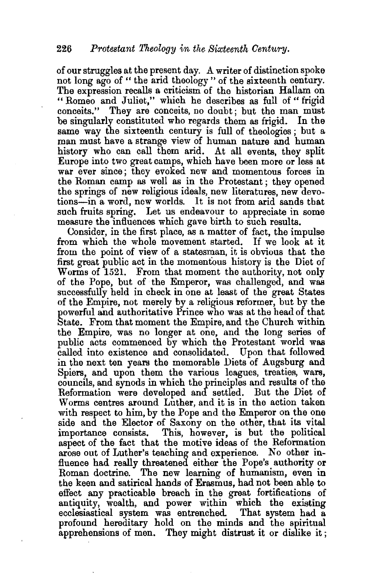of our struggles at the present day. A writer of distinction spoke not long ago of " the arid theology " of the sixteenth century. The expression recalls a criticism of the historian Hallam on "Romeo and Juliet," which he describes as full of "frigid" conceits." They are conceits, no doubt; but the man must be singularly constituted who regards them as frigid. In the same way the sixteenth century is full of theologies; but a man must have a strange view of human nature and human history who can call them arid. At all events, they split Europe into two greatcamps, which have been more or less at war ever since; they evoked new and momentous forces in the Roman camp as well as in the Protestant ; they opened the springs of new religious ideals, new literatures, new devotions-in a word, new worlds. It is not from arid sands that such fruits spring. Let us endeavour to appreciate in some measure the influences which gave birth to such results.

Consider, in the first place, as a matter of fact, the impulse from which the whole movement started. If we look at it from the point of view of a statesman, it is obvious that the first great public act in the momentous history is the Diet of Worms of 1521. From that moment the authority, not only of the Pope, but of the Emperor, was challenged, and was successfully held in check in one at least of the great States of the Empire, not merely by a religious reformer, but by the powerful and authoritative Prince who was at the head of that State. From that moment the Empire, and the Church within the Empire, was no longer at one, and the long series of public acts commenced by which the Protestant world was called into existence and consolidated. Upon that followed in the next ten years the memorable Diets of Augsburg and Spiers, and upon them the various leagues, treaties, wars, councils, and synods in which the principles and results of the Reformation were developed and settled. But the Diet of Worms centres around Luther, and it is in the action taken with respect to him, by the Pope and the Emperor on the one side and the Elector of Saxony on the other, that its vital importance consists. This, however, is but the political aspect of the fact that the motive ideas of the Reformation arose out of Luther's teaching and experience. No other influence had really threatened either the Pope's authority or Roman doctrine. The new learning of humanism, even in the keen and satirical hands of Erasmus, had not been able to effect any practicable breach in the great fortifications of antiquity, wealth, and power within which the existing ecclesiastical system was entrenched. That system had a profound hereditary hold on the minds and the spiritual apprehensions of men. They might distrust it or dislike it ;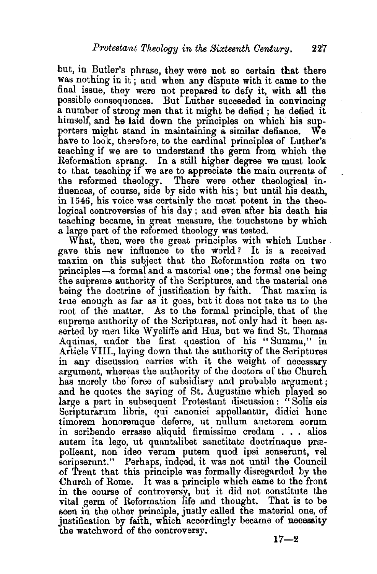but, in Butler's phrase, they were not so certain that there was nothing in it ; and when any dispute with it came to the final issue, they were not prepared to defy it, with all the possible consequences. But Luther succeeded in convincing a number of strong- men that it might be defied ; he defied it himself, and he laid down the principles on which his supporters might stand in maintaining a similar defiance. We have to look, therefore, to the cardinal principles of Luther's teaching if we are to understand the germ from which the Reformation sprang. In a still higher degree we must look to that teaching if we are to appreciate the main currents of the reformed theology. There were other theological in-There were other theological influences, of course, side by side with his; but until his death, in 1546, his voice was certainly the most potent in the theological controversies of his day ; and even after his death his teaching became, in great measure, the. touchstone by which a large part of the reformed theology was tested.

What, then, were the great principles with which Luther gave this new influence to the world? It is a received maxim on this subject that the Reformation rests on two principles-a formal and a material one; the formal one being the supreme authority of the Scriptures, and the material one being the doctrine of justification by faith. That maxim is true enough as far as it goes, but it does not take us to the root of the matter. As to the formal principle, that of the supreme authority of the Scriptures, not only had it been asserted by men like W ycliffe and Hus, but we find St. Thomas Aquinas, under the first question of his "Summa," in Article VIII., laying down that the authority of the Scriptures in any discussion carries with it the weight of necessary argument, whereas the authority of the doctors of the Church has merely the force of subsidiary and probable argument; and he quotes the saying of St. Augustine which played so large a part in subsequent Protestant discussion: "Solis eis Scrtpturarum libris, qui canonici appellantur, didici hunc timorem honoremque deferre, ut nullum auctorem eorum in scribendo errasse aJiquid firmissime credam . . . alios autem ita lego, ut quantalibet sanctitate doctrinaque præpolleant, non ideo verum putem quod ipsi senserunt, vel scripserunt." Perhaps, indeed, it was not until the Council of Trent that this principle was formally disregarded by the Church of Rome. It was a principle which came to the front in the course of controversy, but it did not constitute the vital germ of Reformation life and thought. That is to be seen in the other principle, justly called the material one, of justification by faith, which accordingly became of necessity the watchword of the controversy. **17-2**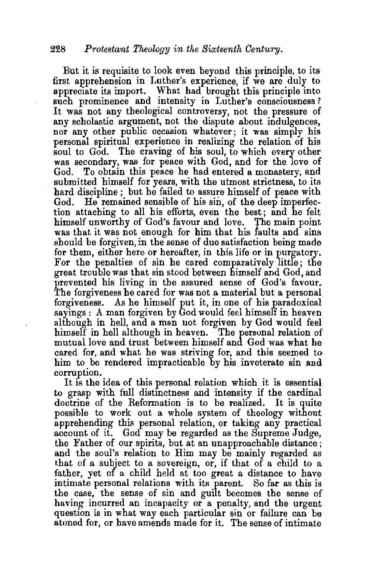But it is requisite to look even beyond this principle, to its first apprehension in Luther's experience, if we are duly to appreciate its import. What had brought this principle into such prominence and intensity in Luther's consciousness? It was not any theological controversy, not the pressure of any scholastic argument, not the dispute about indulgences, nor any other public occasion whatever; it was simply his personal spiritual experience in realizing the relation of his soul to God. The craving of his soul, to which every other was secondary, was for peace with God, and for the love of God. To obtain this peace he had entered a monastery, and submitted himself for years, with the utmost strictness, to its hard discipline; but he failed to assure himself of peace with God. He remained sensible of his sin, of the deep imperfection attaching to all his efforts, even the best; and he felt himself unworthy of God's favour and love. The main point was that it was not enough for him that his faults and sins should be forgiven, in the sense of due satisfaction being made for them, either here or hereafter, in this life or in purgatory. For the penalties of sin he cared comparatively little; the great trouble was that sin stood between himself and God, and prevented his living in the assured sense of God's favour. The forgiveness he cared for was not a material but a personal forgiveness. As he himself put it, in one of his paradoxical sayings : A man forgiven by God would feel himseff in heaven although in hell, and a man not forgiven by God would feel himself in hell although in heaven. The personal relation of mutual love and trust between himself and God was what he cared for, and what he was striving for, and this seemed to him to be rendered impracticable by his inveterate sin and corruption.

It is the idea of this personal relation which it is essential to grasp with full distmctness and intensity if the cardinal doctrine of the Reformation is to be realized. It is quite possible to work out a whole system of theology without apprehending this personal relation, or taking any practical account of it. God may be regarded as the Supreme Judge, the Father of our spirits, but at an unapproachable distance ; and the soul's relation to Him may be mainly regarded as that of a subject to a sovereign, or, if that of a child to a father, yet of a child held at too great a distance to have intimate personal relations with its parent. So far as this is the case, the sense of sin and guilt becomes the sense of having incurred an incapacity or a penalty, and the urgent question is in what way each particular sin or failure can be atoned for, or have amends made for it. The sense of intimate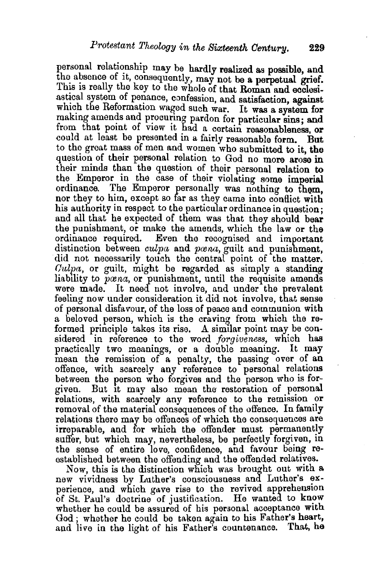personal relationship may be hardly realized as possible, and the absence of it, consequently, may not be a perpetual grief. This is really the key to the whole of that Roman and ecclesiastical system of penance, confession, and satisfaction, against which the Reformation waged such war. It was a system for making amends and procuring pardon for particular sins; and from that point of view it had a certain reasonableness, or could at least be presented in a fairly reasonable form. But to the great mass of men and women who submitted to it, the question of their personal relation to God no more arose in their minds than the question of their personal relation to the Emperor in the case of their violating some imperial ordinance. The Emperor personally was nothing to them, nor they to him, except so far as they came into conflict with his authority in respect to the particular ordinance in question; and all that he expected of them was that they should bear the punishment, or make the amends, which the law or the ordinance required. Even the recognised and important distinction between *culpa* and *prena,* guilt and punishment, did not necessarily touch the central point of the matter.  $Culpa$ , or guilt, might be regarded as simply a standing liability to *poena*, or punishment, until the requisite amends were made. It need not involve, and under the prevalent feeling now under consideration it did not involve, that sense of personal disfavour, of the loss of peace and communion with a beloved person, which is the craving from which the reformed principle takes its rise. A similar point may be considered in reference to the word *forgiveness,* which has practically two meanings, or a double meaning. It may mean the remission of a penalty, the passing over of an offence, with scarcely any reference to personal relations between the person who forgives and the person who is forgiven. But It may also mean the restoration of personal relations, with scarcely any reference to the remission or removal of the material consequences of the offence. In family relations there may be offences of which the consequences are irreparable, and for which the offender must permanently suffer, but which may, nevertheless, be perfectly forgiven, in the sense of entire love, confidence, and favour being reestablished between the offending and the offended relatives.

Now, this is the distinction which was brought out with a new vividness by Luther's consciousness and Luther's experience, and which gave rise to the revived apprehenston of St. Paul's doctrine of justification. He wanted to know whether he could be assured of his personal acceptance with God ; whether he could be taken again to his Father's heart, and live in the light of his Father's countenance. That, he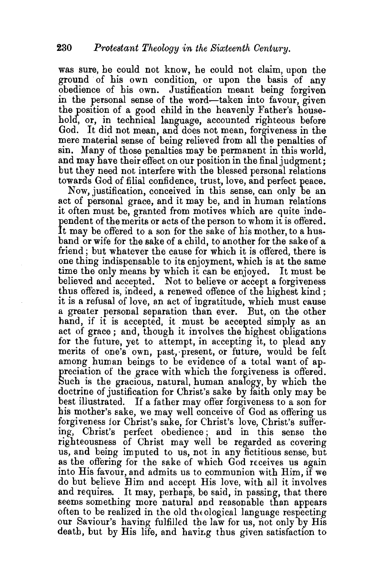was sure, he could not know, he could not claim, upon the ground of his own condition, or upon the basis of any obedience of his own. Justification meant being forgiven in the personal sense of the word-taken into favour, given the position of a good child in the heavenly Father's household, or, in technical language, accounted righteous before God. It did not mean, and does not mean, forgiveness in the mere material sense of being relieved from all the penalties of sin. Many of those penalties may be permanent in this world, and may have their effect on our position in the final judgment; but they need not interfere with the blessed personal relations towards God of filial confidence, trust, love, and perfect peace.

Now, justification, conceived in this sense, can only be an act of personal grace, and it may be, and in human relations it often must be, granted from motives which are quite independent of the merits or acts of the person to whom it is offered.<br>It may be offered to a son for the sake of his mother, to a huspendent of the merits or acts of the person to whom it is offered. band or wife for the sake of a child, to another for the sake of a friend; but whatever the cause for which it is offered, there is one thing indispensable to its enjoyment, which is at the same time the only means by which it can be enjoyed. It must be believed and accepted. Not to believe or accept a forgiveness thus offered is, indeed, a renewed offence of the highest kind; it is a refusal of love, an act of ingratitude, which must cause a greater personal separation than ever. But, on the other hand, if it is accepted, it must be accepted simply as an act of grace ; and, though it involves the highest obligations for the future, yet to attempt, in accepting it, to plead any merits of one's own, past, present, or future, would be felt among human beings to be evidence of a total want of appreciation of the grace with which the forgiveness is offered. Such is the gracious, natural, human analogy, by which the doctrine of justification for Christ's sake by faith only may be best illustrated. If a father may offer forgiveness to a son for his mother's sake, we may well conceive of God as offering us forgiveness for Christ's sake, for Christ's love, Christ's suffering, Christ's perfect obedience; and in this sense the righteousness of Christ may well be regarded as covering us, and being imputed to us, not in any fictitious sense, but as the offering for the sake of which God receives us again into His favour, and admits us to communion with Him, if we do but believe Bim and accept His love, with all it involves and requires. It may, perhaps, be said, in passing, that there seems something more natural and reasonable than appears often to be realized in the old theological language respecting our Saviour's having fulfilled the law for us, not only by His death, but by His life, and having thus given satisfaction to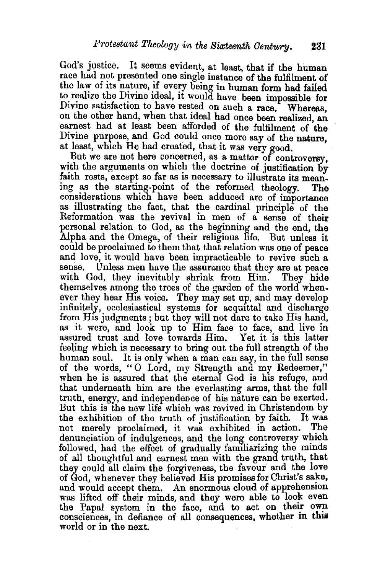God's justice. It seems evident, at least, that if the human race had not presented one single instance of the fulfilment of the law of its nature, if every being in human form had failed to realize the Divine ideal, it would have been impossible for Divine satisfaction to have rested on such a race. Whereas, on the other hand, when that tdeal had once been realized, an earnest had at least been afforded of the fulfilment of the Divine purpose, and God could once more say of the nature at least, which He had created, that it was very good.

But we are not here concerned, as a matter of controversy, with the arguments on which the doctrine of justification by faith rests, except so far as is necessary to illustrate its meaning as the starting-point of the reformed theology. The considerations which have been adduced are of importance as illustrating the fact, that the cardinal principle of the Reformation was the revival in men of a sense of their personal relation to God, as the beginning and the end, the Alpha and the Omega, of their religious life. But unless it could be proclaimed to them that that relation was one of peace and love, it would have been impracticable to revive such a sense. Unless men have the assurance that they are at peace with God, they inevitably shrink from Him. They hide themselves among the trees of the garden of the world whenever they hear His voice. They may set up, and may develop infinitely, ecclesiastical systems for acquittal and discharge from His judgments ; but they will not dare to take His hand, as it were, and look up to Him face to face, and live in assured trust and love towards Him. Yet it is this latter feeling which is necessary to bring out the full strength of the human soul. It is only when a man can say, in the full sense of the words, "0 Lord, my Strength and my Redeemer," when he is assured that the eternal God is his refuge, and that underneath him are the everlasting arms, that the full truth, energy, and independence of his nature can be exerted. But this is the new life which was revived in Christendom by the exhibition of the truth of justification by faith. It was not merely proclaimed, it was exhibited in action. denunciation of indulgences, and the long controversy which followed, had the effect of gradually familiarizing the minds of all thoughtful and earnest men with the grand truth, that they could all claim the forgiveness, the favour and the love of God, whenever they believed His promises for Christ's sake, and would accept them. An enormous cloud of apprehension was lifted off their minds, and they were able to look even the Papal system in the face, and to act on their own consciences, in defiance of all consequences, whether in this world or in the next.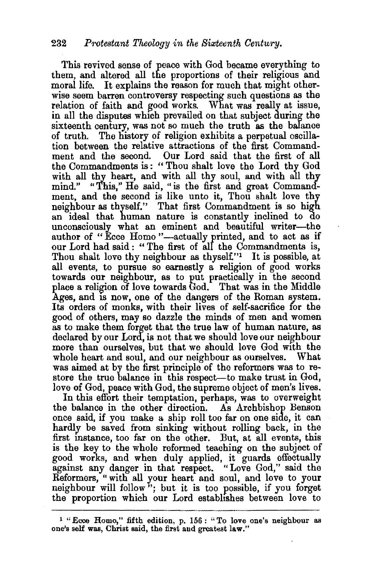This revived sense of peace with God became everything to them, and altered all the proportions of their religious and moral life. It explains the reason for much that might otherwise seem barren controversy respecting such questions as the relation of faith and good works. What was really at issue, in all the disputes which prevailed on that subject during the sixteenth century, was not so much the truth as the balance of truth. The history of religion exhibits a perpetual oscillation between the relative attractions of the first Commandment and the second. Our Lord said that the first of all the Commandments is : " Thou shalt love the Lord thy God with all thy heart, and with all thy soul, and with all thy mind." "This," He said, "is the first and great Commandment, and the second is like unto it, Thou shalt love thy neighbour as thyself." That first Commandment is so high an ideal that human nature is constantly inclined to do unconsciously what an eminent and beautiful writer-the author of "Ecce Homo"—actually printed, and to act as if our Lord had said : " The first of all the Commandments is, Thou shalt love thy neighbour as thyself."<sup>1</sup> It is possible, at all events, to pursue so earnestly a religion of good works towards our neighbour, as to put practically in the second place a religion of love towards God. That was in the Middle Ages, and is now, one of the dangers of the Roman system. Its orders of monks, with their lives of self-sacrifice for the good of others, may so dazzle the minds of men and women as to make them forget that the true law of human nature, as declared by our Lord, is not that we should love our neighbour more than ourselves, but that we should love God With the whole heart and soul, and our neighbour as ourselves. What was aimed at by the first principle of the reformers was to restore the true balance in this respect—to make trust in God, love of God, peace with God, the supreme object of men's lives.

In this effort their temptation, perhaps, was to overweight the balance in the other direction. As Archbishop Benson once said, if you make a ship roll too far on one side, it can hardly be saved from sinking without rolling back, in the first mstance, too far on the other. But, at all events, this is the key to the whole reformed teaching on the subject of good works, and when duly applied, it guards effectually against any danger in that respect. "Love God," said the Reformers, " with all your heart and soul, and love to your neighbour will follow"; but it is too possible, if you forget the proportion which our Lord establishes between love to

<sup>&</sup>lt;sup>1</sup> "Ecce Homo," fifth edition, p. 156: "To love one's neighbour as one's self was, Christ said, the first and greatest law."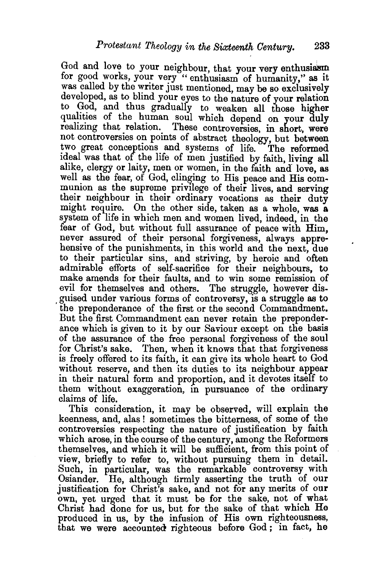God and love to your neighbour, that your very enthusiasm for good works, your very "enthusiasm of humanity," as it was called by the writer just mentioned, may be so exclusively developed, as to blind your eyes to the nature of your relation to God, and thus gradually to weaken all those higher qualities of the human soul which depend on your duly realizing that relation. These controversies, in short, were not controversies on points of abstract theology, but between two great conceptions and systems of life. The reformed ideal was that of the life of men justified by faith, living all alike, clergy or laity, men or women, in the faith and love, as well as the fear, of God, clinging to His peace and His communion as the supreme privilege of their lives, and serving their neighbour in their ordinary vocations as their duty might require. On the other side, taken as a whole, was a system of life in which men and women lived, indeed, in the fear of God, but without full assurance of peace with Him, never assured of their personal forgiveness, always apprehensive of the punishments, in this world and the next, due to their particular sins, and striving, by heroic and often admirable efforts of self-sacrifice for their neighbours, to make amends for their faults, and to win some remission of evil for themselves and others. The struggle, however dis-<br>guised under various forms of controversy, is a struggle as to the preponderance of the first or the second Commandment. But the first Commandment can never retain the preponderance which is given to it by our Saviour except on the basis of the assurance of the free personal forgiveness of the soul for Christ's sake. Then, when it knows that that forgiveness is freely offered to its faith, it can give its whole heart to God without reserve, and then its duties to its neighbour appear in their natural form and proportion, and it devotes itself to them without exaggeration, in pursuance of the ordinary claims of life.

This consideration, it may be observed, will explain the keenness, and, alas ! sometimes the bitterness, of some of the controversies respecting the nature of justification by faith which arose, in the course of the century, among the Reformers themselves, and which it will be sufficient, from this point of view, briefly to refer to, without pursuing them in detail. Such, in particular, was the remarkable controversy with Osiander. He, although firmly asserting the truth of our justification for Christ's sake, and not for any merits of our own, yet urged that it must be for the sake, not of what Christ had done for us, but for the sake of that which He produced in us, by the infusion of His own righteousness, that we were accounted righteous before God ; in fact, he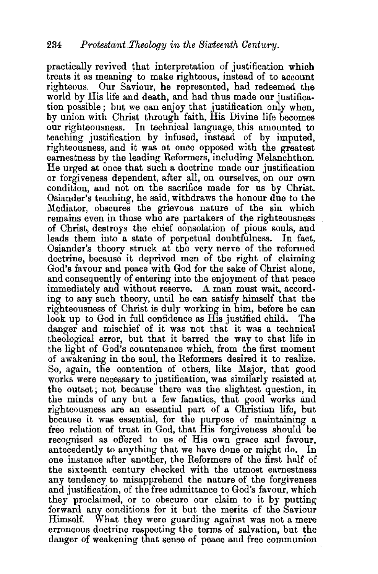practically revived that interpretation of justification which treats it as meaning to make righteous, instead of to account righteous. Our Saviour, he represented, had redeemed the world by His life and death, and had thus made our justification possible ; but we can enjoy that justification only when, by union with Christ through faith, His Divine life becomes our righteousness. In technical language, this amounted to teaching justification by infused, instead of by imputed, righteousness, and it was at once opposed with the greatest earnestness by the leading Reformers, including Melanchthon. He urged at once that snch a doctrine made our justification or forgiveness dependent, after all, on ourselves, on our own condition, and not on the sacrifice made for us by Christ. Osiander's teaching, he said, withdraws the honour due to the Mediator, obscures the grievous nature of the sin which remains even in those who are partakers of the righteousness of Christ, destroys the chief consolation of pious souls, and leads them into a state of perpetual doubtfulness. In fact, Osiander's theory struck at the very nerve of the reformed doctrine, because it deprived men of the right of claiming God's favour and peace with God for the sake of Christ alone, and consequently of entering into the enjoyment of that peace immediately and without reserve. A man must wait, according to any such theory, nntil he can satisfy himself that the righteousness of Christ is duly working in him, before he can look up to God in full confidence as His justified child. The danger and mischief of it was not that it was a technical theological error, but that it barred the way to that life in the light of God's countenance which, from the first moment of awakening in the soul, the Reformers desired it to realize. So, again, the contention of others, like Major, that good works were necessary to justification, was similarly resisted at the outset; not because there was the slightest question, in the minds of any but a few fanatics, that good works and righteousness are an essential part of a Christian life, but because it was essential, for the purpose of maintaining a free relation of trust in God, that His forgiveness should be recognised as offered to us of His own grace and favour, antecedently to anything that we have done or might do. In one instance after another, the Reformers of the first half of the sixteenth century checked with the utmost earnestness any tendency to misapprehend the nature of the forgiveness and justification, of the free admittance to God's favour, which they proclaimed, or to obscure our claim to it by putting forward any conditions for it but the merits of the Saviour Himself. What they were guarding against was not a mere erroneous doctrine respecting the terms of salvation, but the danger of weakening that sense of peace and free communion